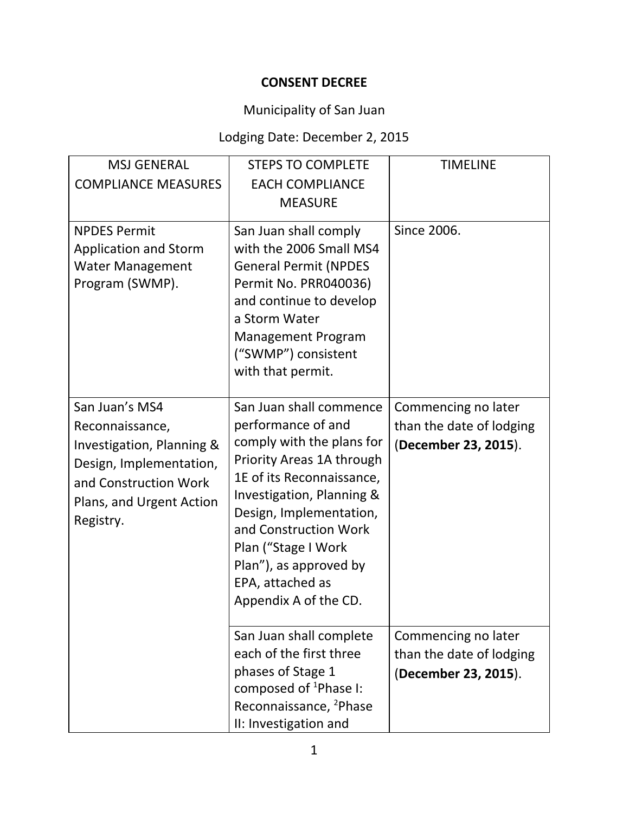### **CONSENT DECREE**

# Municipality of San Juan

# Lodging Date: December 2, 2015

| <b>MSJ GENERAL</b>                                                                                                                                          | <b>STEPS TO COMPLETE</b>                                                                                                                                                                                                                                                                                            | <b>TIMELINE</b>                                                         |
|-------------------------------------------------------------------------------------------------------------------------------------------------------------|---------------------------------------------------------------------------------------------------------------------------------------------------------------------------------------------------------------------------------------------------------------------------------------------------------------------|-------------------------------------------------------------------------|
| <b>COMPLIANCE MEASURES</b>                                                                                                                                  | <b>EACH COMPLIANCE</b>                                                                                                                                                                                                                                                                                              |                                                                         |
|                                                                                                                                                             | <b>MEASURE</b>                                                                                                                                                                                                                                                                                                      |                                                                         |
| <b>NPDES Permit</b><br><b>Application and Storm</b><br><b>Water Management</b><br>Program (SWMP).                                                           | San Juan shall comply<br>with the 2006 Small MS4<br><b>General Permit (NPDES</b><br>Permit No. PRR040036)<br>and continue to develop<br>a Storm Water<br><b>Management Program</b><br>("SWMP") consistent<br>with that permit.                                                                                      | Since 2006.                                                             |
| San Juan's MS4<br>Reconnaissance,<br>Investigation, Planning &<br>Design, Implementation,<br>and Construction Work<br>Plans, and Urgent Action<br>Registry. | San Juan shall commence<br>performance of and<br>comply with the plans for<br>Priority Areas 1A through<br>1E of its Reconnaissance,<br>Investigation, Planning &<br>Design, Implementation,<br>and Construction Work<br>Plan ("Stage I Work<br>Plan"), as approved by<br>EPA, attached as<br>Appendix A of the CD. | Commencing no later<br>than the date of lodging<br>(December 23, 2015). |
|                                                                                                                                                             | San Juan shall complete<br>each of the first three<br>phases of Stage 1<br>composed of <sup>1</sup> Phase I:<br>Reconnaissance, <sup>2</sup> Phase<br>II: Investigation and                                                                                                                                         | Commencing no later<br>than the date of lodging<br>(December 23, 2015). |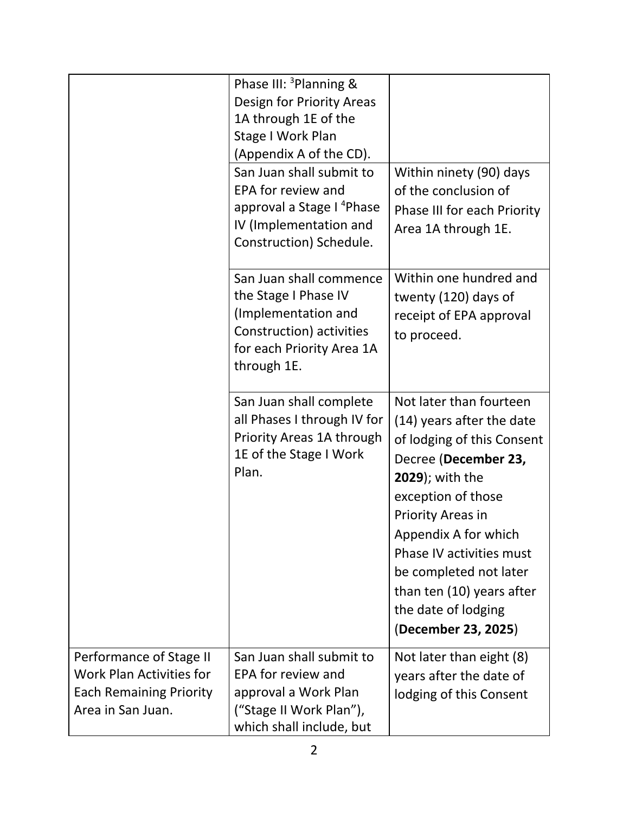|                                                                                                            | Phase III: <sup>3</sup> Planning &<br>Design for Priority Areas<br>1A through 1E of the<br>Stage I Work Plan<br>(Appendix A of the CD).<br>San Juan shall submit to<br>EPA for review and<br>approval a Stage I <sup>4</sup> Phase<br>IV (Implementation and | Within ninety (90) days<br>of the conclusion of<br>Phase III for each Priority<br>Area 1A through 1E.                                                                                                                                                                                                                                    |
|------------------------------------------------------------------------------------------------------------|--------------------------------------------------------------------------------------------------------------------------------------------------------------------------------------------------------------------------------------------------------------|------------------------------------------------------------------------------------------------------------------------------------------------------------------------------------------------------------------------------------------------------------------------------------------------------------------------------------------|
|                                                                                                            | Construction) Schedule.<br>San Juan shall commence<br>the Stage I Phase IV<br>(Implementation and<br>Construction) activities<br>for each Priority Area 1A<br>through 1E.                                                                                    | Within one hundred and<br>twenty (120) days of<br>receipt of EPA approval<br>to proceed.                                                                                                                                                                                                                                                 |
|                                                                                                            | San Juan shall complete<br>all Phases I through IV for<br>Priority Areas 1A through<br>1E of the Stage I Work<br>Plan.                                                                                                                                       | Not later than fourteen<br>(14) years after the date<br>of lodging of this Consent<br>Decree (December 23,<br>2029); with the<br>exception of those<br>Priority Areas in<br>Appendix A for which<br><b>Phase IV activities must</b><br>be completed not later<br>than ten (10) years after<br>the date of lodging<br>(December 23, 2025) |
| Performance of Stage II<br>Work Plan Activities for<br><b>Each Remaining Priority</b><br>Area in San Juan. | San Juan shall submit to<br>EPA for review and<br>approval a Work Plan<br>("Stage II Work Plan"),<br>which shall include, but                                                                                                                                | Not later than eight (8)<br>years after the date of<br>lodging of this Consent                                                                                                                                                                                                                                                           |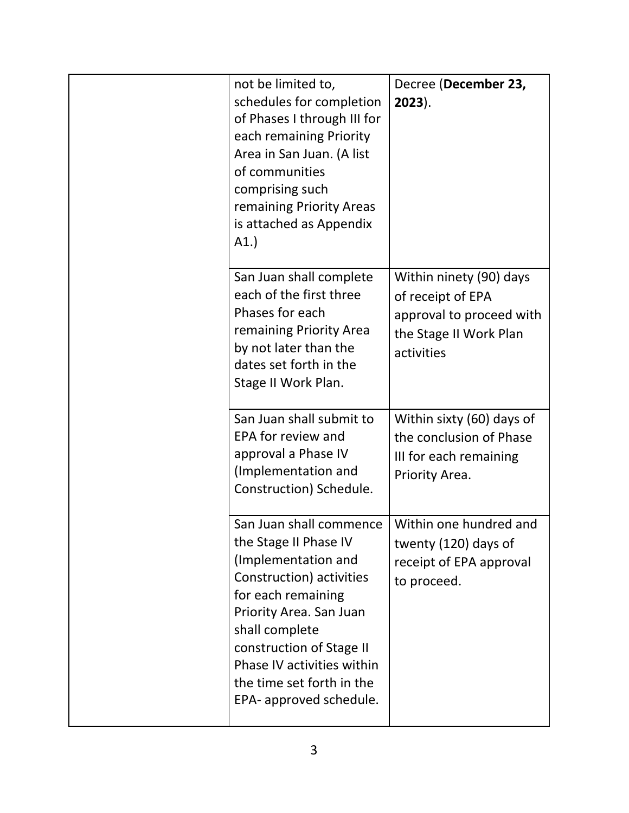| not be limited to,<br>schedules for completion<br>of Phases I through III for<br>each remaining Priority<br>Area in San Juan. (A list<br>of communities<br>comprising such<br>remaining Priority Areas<br>is attached as Appendix<br>A1.                                                 | Decree (December 23,<br>$2023$ ).                                                                                |
|------------------------------------------------------------------------------------------------------------------------------------------------------------------------------------------------------------------------------------------------------------------------------------------|------------------------------------------------------------------------------------------------------------------|
| San Juan shall complete<br>each of the first three<br>Phases for each<br>remaining Priority Area<br>by not later than the<br>dates set forth in the<br>Stage II Work Plan.                                                                                                               | Within ninety (90) days<br>of receipt of EPA<br>approval to proceed with<br>the Stage II Work Plan<br>activities |
| San Juan shall submit to<br>EPA for review and<br>approval a Phase IV<br>(Implementation and<br>Construction) Schedule.                                                                                                                                                                  | Within sixty (60) days of<br>the conclusion of Phase<br>III for each remaining<br>Priority Area.                 |
| San Juan shall commence<br>the Stage II Phase IV<br>(Implementation and<br>Construction) activities<br>for each remaining<br>Priority Area. San Juan<br>shall complete<br>construction of Stage II<br>Phase IV activities within<br>the time set forth in the<br>EPA- approved schedule. | Within one hundred and<br>twenty (120) days of<br>receipt of EPA approval<br>to proceed.                         |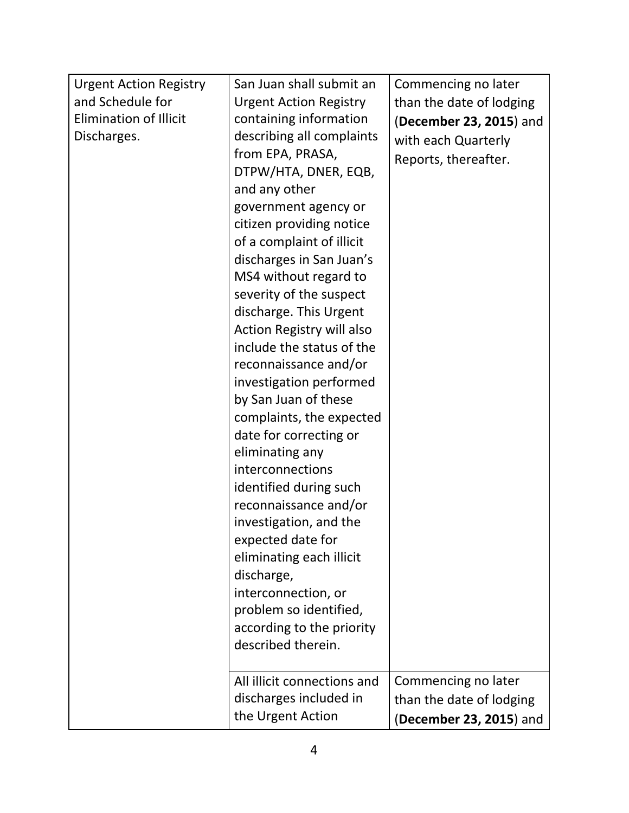| <b>Urgent Action Registry</b> | San Juan shall submit an      | Commencing no later      |
|-------------------------------|-------------------------------|--------------------------|
| and Schedule for              | <b>Urgent Action Registry</b> | than the date of lodging |
| <b>Elimination of Illicit</b> | containing information        | (December 23, 2015) and  |
| Discharges.                   | describing all complaints     | with each Quarterly      |
|                               | from EPA, PRASA,              |                          |
|                               | DTPW/HTA, DNER, EQB,          | Reports, thereafter.     |
|                               | and any other                 |                          |
|                               | government agency or          |                          |
|                               | citizen providing notice      |                          |
|                               | of a complaint of illicit     |                          |
|                               | discharges in San Juan's      |                          |
|                               | MS4 without regard to         |                          |
|                               | severity of the suspect       |                          |
|                               | discharge. This Urgent        |                          |
|                               | Action Registry will also     |                          |
|                               | include the status of the     |                          |
|                               | reconnaissance and/or         |                          |
|                               |                               |                          |
|                               | investigation performed       |                          |
|                               | by San Juan of these          |                          |
|                               | complaints, the expected      |                          |
|                               | date for correcting or        |                          |
|                               | eliminating any               |                          |
|                               | interconnections              |                          |
|                               | identified during such        |                          |
|                               | reconnaissance and/or         |                          |
|                               | investigation, and the        |                          |
|                               | expected date for             |                          |
|                               | eliminating each illicit      |                          |
|                               | discharge,                    |                          |
|                               | interconnection, or           |                          |
|                               | problem so identified,        |                          |
|                               | according to the priority     |                          |
|                               | described therein.            |                          |
|                               |                               |                          |
|                               | All illicit connections and   | Commencing no later      |
|                               | discharges included in        | than the date of lodging |
|                               | the Urgent Action             | (December 23, 2015) and  |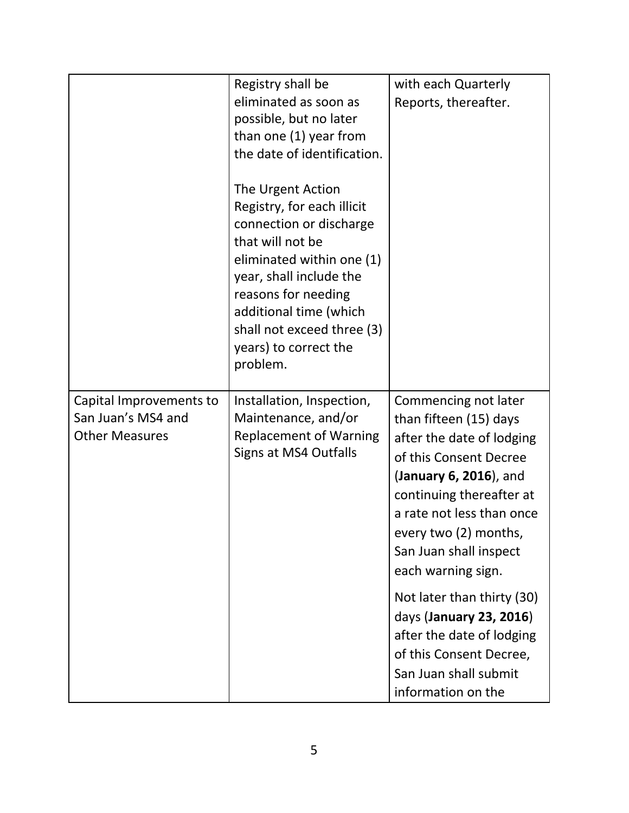|                                                                        | Registry shall be<br>eliminated as soon as<br>possible, but no later<br>than one (1) year from<br>the date of identification.                                                                                                                                              | with each Quarterly<br>Reports, thereafter.                                                                                                                                                                                                                       |
|------------------------------------------------------------------------|----------------------------------------------------------------------------------------------------------------------------------------------------------------------------------------------------------------------------------------------------------------------------|-------------------------------------------------------------------------------------------------------------------------------------------------------------------------------------------------------------------------------------------------------------------|
|                                                                        | The Urgent Action<br>Registry, for each illicit<br>connection or discharge<br>that will not be<br>eliminated within one (1)<br>year, shall include the<br>reasons for needing<br>additional time (which<br>shall not exceed three (3)<br>years) to correct the<br>problem. |                                                                                                                                                                                                                                                                   |
| Capital Improvements to<br>San Juan's MS4 and<br><b>Other Measures</b> | Installation, Inspection,<br>Maintenance, and/or<br><b>Replacement of Warning</b><br>Signs at MS4 Outfalls                                                                                                                                                                 | Commencing not later<br>than fifteen (15) days<br>after the date of lodging<br>of this Consent Decree<br>(January 6, 2016), and<br>continuing thereafter at<br>a rate not less than once<br>every two (2) months,<br>San Juan shall inspect<br>each warning sign. |
|                                                                        |                                                                                                                                                                                                                                                                            | Not later than thirty (30)<br>days (January 23, 2016)<br>after the date of lodging<br>of this Consent Decree,<br>San Juan shall submit<br>information on the                                                                                                      |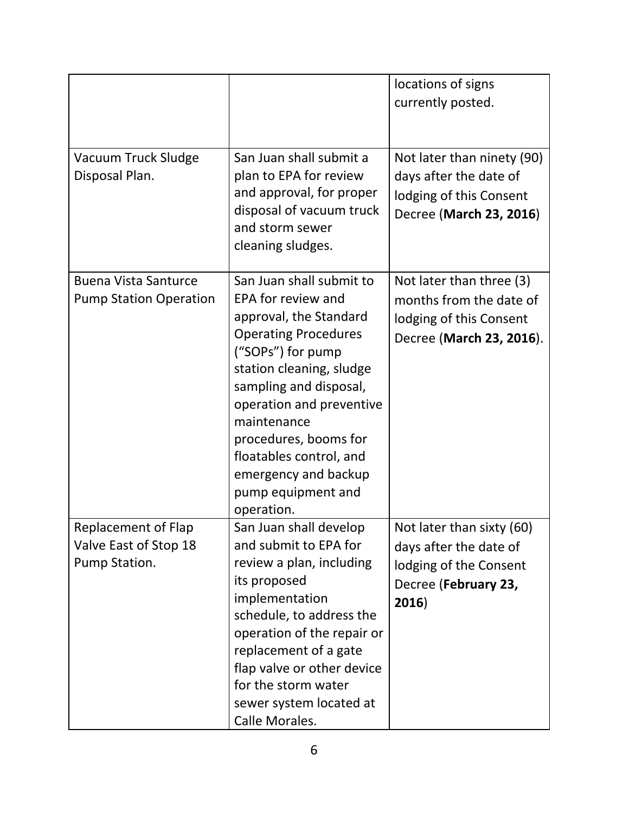|                                                               |                                                                                                                                                                                                                                                                                                                                               | locations of signs<br>currently posted.                                                                        |
|---------------------------------------------------------------|-----------------------------------------------------------------------------------------------------------------------------------------------------------------------------------------------------------------------------------------------------------------------------------------------------------------------------------------------|----------------------------------------------------------------------------------------------------------------|
| Vacuum Truck Sludge<br>Disposal Plan.                         | San Juan shall submit a<br>plan to EPA for review<br>and approval, for proper<br>disposal of vacuum truck<br>and storm sewer<br>cleaning sludges.                                                                                                                                                                                             | Not later than ninety (90)<br>days after the date of<br>lodging of this Consent<br>Decree (March 23, 2016)     |
| <b>Buena Vista Santurce</b><br><b>Pump Station Operation</b>  | San Juan shall submit to<br>EPA for review and<br>approval, the Standard<br><b>Operating Procedures</b><br>("SOPs") for pump<br>station cleaning, sludge<br>sampling and disposal,<br>operation and preventive<br>maintenance<br>procedures, booms for<br>floatables control, and<br>emergency and backup<br>pump equipment and<br>operation. | Not later than three (3)<br>months from the date of<br>lodging of this Consent<br>Decree (March 23, 2016).     |
| Replacement of Flap<br>Valve East of Stop 18<br>Pump Station. | San Juan shall develop<br>and submit to EPA for<br>review a plan, including<br>its proposed<br>implementation<br>schedule, to address the<br>operation of the repair or<br>replacement of a gate<br>flap valve or other device<br>for the storm water<br>sewer system located at<br>Calle Morales.                                            | Not later than sixty (60)<br>days after the date of<br>lodging of the Consent<br>Decree (February 23,<br>2016) |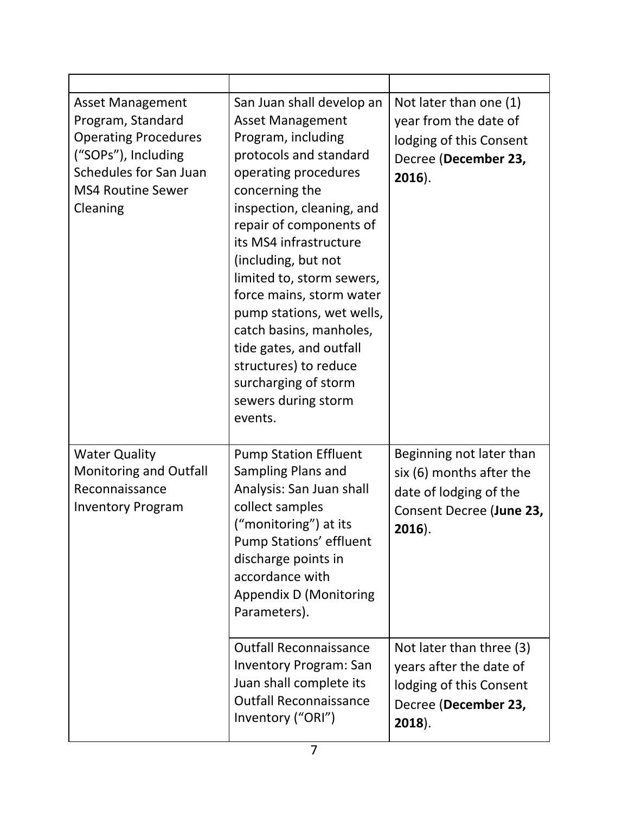| <b>Asset Management</b><br>Program, Standard<br><b>Operating Procedures</b><br>("SOPs"), Including<br>Schedules for San Juan<br><b>MS4 Routine Sewer</b><br>Cleaning | San Juan shall develop an<br><b>Asset Management</b><br>Program, including<br>protocols and standard<br>operating procedures<br>concerning the<br>inspection, cleaning, and<br>repair of components of<br>its MS4 infrastructure<br>(including, but not<br>limited to, storm sewers,<br>force mains, storm water<br>pump stations, wet wells,<br>catch basins, manholes,<br>tide gates, and outfall<br>structures) to reduce<br>surcharging of storm<br>sewers during storm<br>events. | Not later than one (1)<br>year from the date of<br>lodging of this Consent<br>Decree (December 23,<br>$2016$ ).                                     |
|----------------------------------------------------------------------------------------------------------------------------------------------------------------------|----------------------------------------------------------------------------------------------------------------------------------------------------------------------------------------------------------------------------------------------------------------------------------------------------------------------------------------------------------------------------------------------------------------------------------------------------------------------------------------|-----------------------------------------------------------------------------------------------------------------------------------------------------|
| <b>Water Quality</b><br><b>Monitoring and Outfall</b><br>Reconnaissance<br><b>Inventory Program</b>                                                                  | <b>Pump Station Effluent</b><br>Sampling Plans and<br>Analysis: San Juan shall<br>collect samples<br>("monitoring") at its<br>Pump Stations' effluent<br>discharge points in<br>accordance with<br>Appendix D (Monitoring<br>Parameters).<br><b>Outfall Reconnaissance</b>                                                                                                                                                                                                             | Beginning not later than<br>six (6) months after the<br>date of lodging of the<br>Consent Decree (June 23,<br>$2016$ ).<br>Not later than three (3) |
|                                                                                                                                                                      | <b>Inventory Program: San</b><br>Juan shall complete its<br><b>Outfall Reconnaissance</b><br>Inventory ("ORI")                                                                                                                                                                                                                                                                                                                                                                         | years after the date of<br>lodging of this Consent<br>Decree (December 23,<br>$2018$ ).                                                             |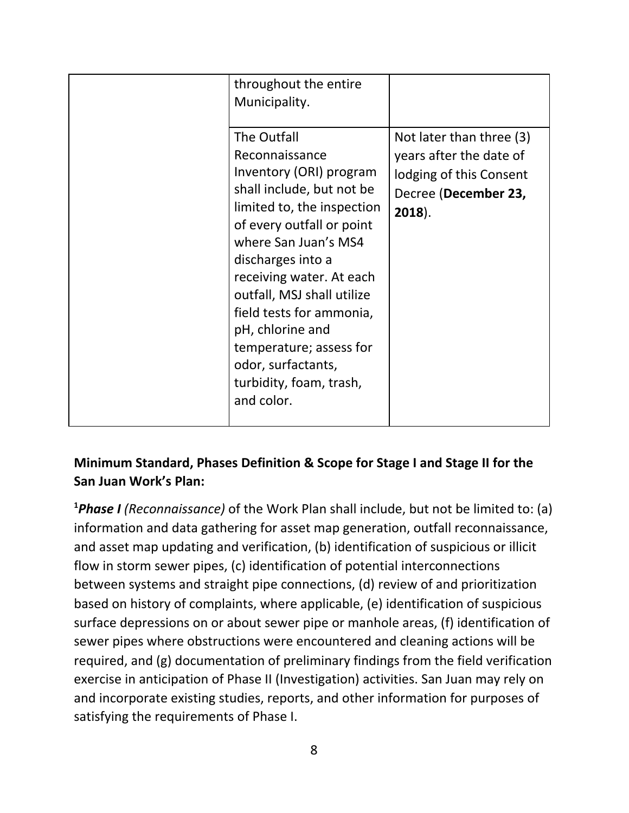| throughout the entire<br>Municipality.<br>The Outfall                                                                                                                                                                                                                                                                                                                              | Not later than three (3)                                                                |
|------------------------------------------------------------------------------------------------------------------------------------------------------------------------------------------------------------------------------------------------------------------------------------------------------------------------------------------------------------------------------------|-----------------------------------------------------------------------------------------|
| Reconnaissance<br>Inventory (ORI) program<br>shall include, but not be<br>limited to, the inspection<br>of every outfall or point<br>where San Juan's MS4<br>discharges into a<br>receiving water. At each<br>outfall, MSJ shall utilize<br>field tests for ammonia,<br>pH, chlorine and<br>temperature; assess for<br>odor, surfactants,<br>turbidity, foam, trash,<br>and color. | years after the date of<br>lodging of this Consent<br>Decree (December 23,<br>$2018$ ). |
|                                                                                                                                                                                                                                                                                                                                                                                    |                                                                                         |

#### **Minimum Standard, Phases Definition & Scope for Stage I and Stage II for the San Juan Work's Plan:**

**<sup>1</sup>***Phase I (Reconnaissance)* of the Work Plan shall include, but not be limited to: (a) information and data gathering for asset map generation, outfall reconnaissance, and asset map updating and verification, (b) identification of suspicious or illicit flow in storm sewer pipes, (c) identification of potential interconnections between systems and straight pipe connections, (d) review of and prioritization based on history of complaints, where applicable, (e) identification of suspicious surface depressions on or about sewer pipe or manhole areas, (f) identification of sewer pipes where obstructions were encountered and cleaning actions will be required, and (g) documentation of preliminary findings from the field verification exercise in anticipation of Phase II (Investigation) activities. San Juan may rely on and incorporate existing studies, reports, and other information for purposes of satisfying the requirements of Phase I.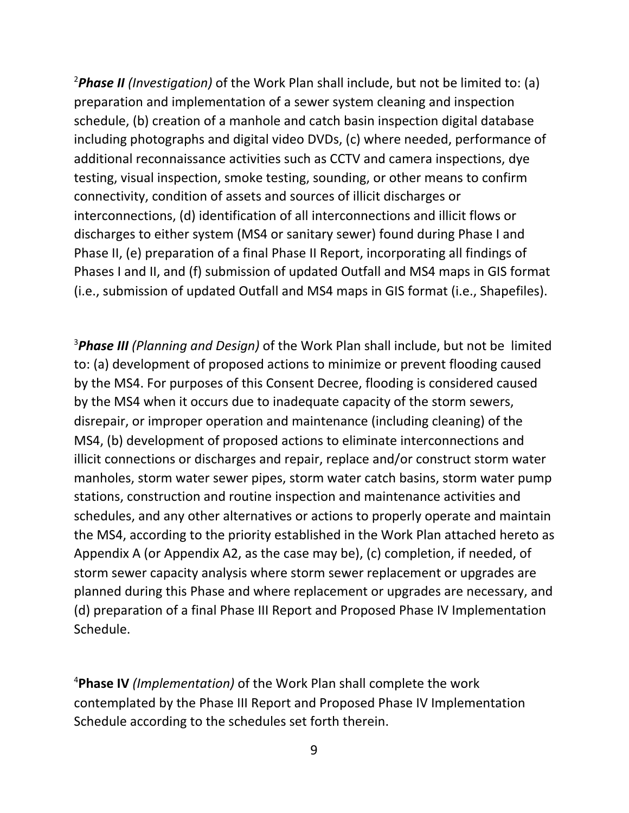<sup>2</sup>*Phase II (Investigation)* of the Work Plan shall include, but not be limited to: (a) preparation and implementation of a sewer system cleaning and inspection schedule, (b) creation of a manhole and catch basin inspection digital database including photographs and digital video DVDs, (c) where needed, performance of additional reconnaissance activities such as CCTV and camera inspections, dye testing, visual inspection, smoke testing, sounding, or other means to confirm connectivity, condition of assets and sources of illicit discharges or interconnections, (d) identification of all interconnections and illicit flows or discharges to either system (MS4 or sanitary sewer) found during Phase I and Phase II, (e) preparation of a final Phase II Report, incorporating all findings of Phases I and II, and (f) submission of updated Outfall and MS4 maps in GIS format (i.e., submission of updated Outfall and MS4 maps in GIS format (i.e., Shapefiles).

<sup>3</sup>*Phase III (Planning and Design)* of the Work Plan shall include, but not be limited to: (a) development of proposed actions to minimize or prevent flooding caused by the MS4. For purposes of this Consent Decree, flooding is considered caused by the MS4 when it occurs due to inadequate capacity of the storm sewers, disrepair, or improper operation and maintenance (including cleaning) of the MS4, (b) development of proposed actions to eliminate interconnections and illicit connections or discharges and repair, replace and/or construct storm water manholes, storm water sewer pipes, storm water catch basins, storm water pump stations, construction and routine inspection and maintenance activities and schedules, and any other alternatives or actions to properly operate and maintain the MS4, according to the priority established in the Work Plan attached hereto as Appendix A (or Appendix A2, as the case may be), (c) completion, if needed, of storm sewer capacity analysis where storm sewer replacement or upgrades are planned during this Phase and where replacement or upgrades are necessary, and (d) preparation of a final Phase III Report and Proposed Phase IV Implementation Schedule.

<sup>4</sup>**Phase IV** *(Implementation)* of the Work Plan shall complete the work contemplated by the Phase III Report and Proposed Phase IV Implementation Schedule according to the schedules set forth therein.